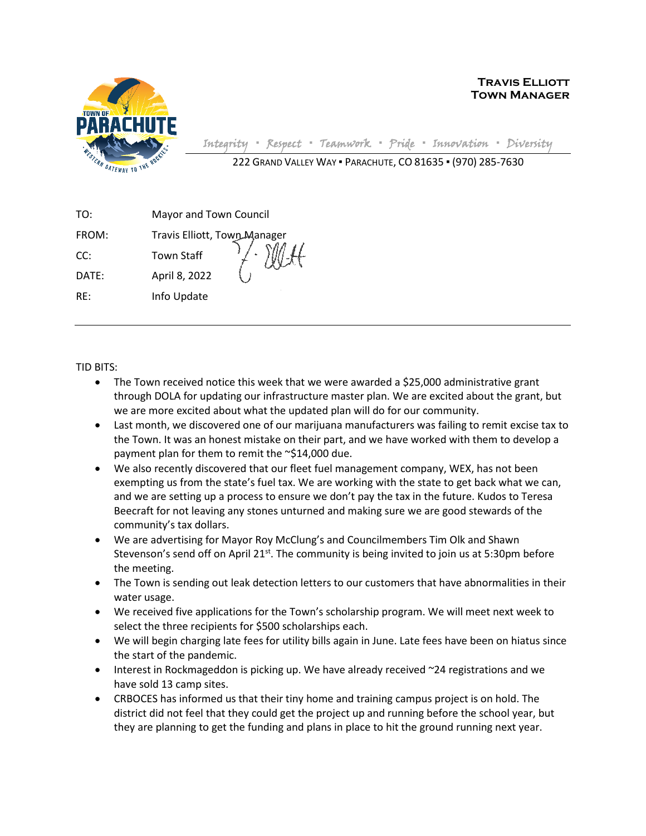

**Travis Elliott Town Manager**

Integrity **▪** Respect **▪** Teamwork **▪** Pride **▪** Innovation **▪** Diversity 222 GRAND VALLEY WAY ▪ PARACHUTE, CO 81635 ▪ (970) 285-7630

| TO:   | Mayor and Town Council       |  |  |
|-------|------------------------------|--|--|
| FROM: | Travis Elliott, Town Manager |  |  |
| CC:   | <b>Town Staff</b>            |  |  |
| DATE: | April 8, 2022                |  |  |
| RE:   | Info Update                  |  |  |
|       |                              |  |  |

TID BITS:

- The Town received notice this week that we were awarded a \$25,000 administrative grant through DOLA for updating our infrastructure master plan. We are excited about the grant, but we are more excited about what the updated plan will do for our community.
- Last month, we discovered one of our marijuana manufacturers was failing to remit excise tax to the Town. It was an honest mistake on their part, and we have worked with them to develop a payment plan for them to remit the ~\$14,000 due.
- We also recently discovered that our fleet fuel management company, WEX, has not been exempting us from the state's fuel tax. We are working with the state to get back what we can, and we are setting up a process to ensure we don't pay the tax in the future. Kudos to Teresa Beecraft for not leaving any stones unturned and making sure we are good stewards of the community's tax dollars.
- We are advertising for Mayor Roy McClung's and Councilmembers Tim Olk and Shawn Stevenson's send off on April 21 $st$ . The community is being invited to join us at 5:30pm before the meeting.
- The Town is sending out leak detection letters to our customers that have abnormalities in their water usage.
- We received five applications for the Town's scholarship program. We will meet next week to select the three recipients for \$500 scholarships each.
- We will begin charging late fees for utility bills again in June. Late fees have been on hiatus since the start of the pandemic.
- Interest in Rockmageddon is picking up. We have already received ~24 registrations and we have sold 13 camp sites.
- CRBOCES has informed us that their tiny home and training campus project is on hold. The district did not feel that they could get the project up and running before the school year, but they are planning to get the funding and plans in place to hit the ground running next year.